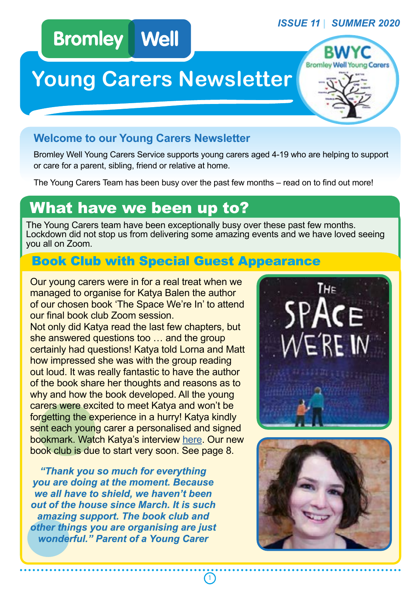#### *ISSUE 11 | SUMMER 2020*

# **Bromley Well**

# **Young Carers Newsletter**

### **Welcome to our Young Carers Newsletter**

Bromley Well Young Carers Service supports young carers aged 4-19 who are helping to support or care for a parent, sibling, friend or relative at home.

The Young Carers Team has been busy over the past few months – read on to find out more!

# What have we been up to?

The Young Carers team have been exceptionally busy over these past few months. Lockdown did not stop us from delivering some amazing events and we have loved seeing you all on Zoom.

# Book Club with Special Guest Appearance

Our young carers were in for a real treat when we managed to organise for Katya Balen the author of our chosen book 'The Space We're In' to attend our final book club Zoom session.

Not only did Katya read the last few chapters, but she answered questions too … and the group certainly had questions! Katya told Lorna and Matt how impressed she was with the group reading out loud. It was really fantastic to have the author of the book share her thoughts and reasons as to why and how the book developed. All the young carers were excited to meet Katya and won't be forgetting the experience in a hurry! Katya kindly sent each young carer a personalised and signed bookmark. Watch Katya's interview [here](https://www.bromleywell.org.uk/news/author-zooms-in-to-meet-young/). Our new book club is due to start very soon. See page 8.

*"Thank you so much for everything you are doing at the moment. Because we all have to shield, we haven't been out of the house since March. It is such amazing support. The book club and other things you are organising are just wonderful." Parent of a Young Carer*



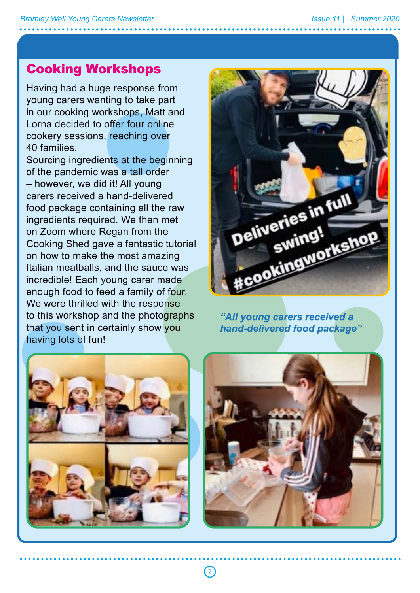a

## Cooking Workshops

Having had a huge response from young carers wanting to take part in our cooking workshops, Matt and Lorna decided to offer four online cookery sessions, reaching over 40 families.

Sourcing ingredients at the beginning of the pandemic was a tall order – however, we did it! All young carers received a hand-delivered food package containing all the raw ingredients required. We then met on Zoom where Regan from the Cooking Shed gave a fantastic tutorial on how to make the most amazing Italian meatballs, and the sauce was incredible! Each young carer made enough food to feed a family of four. We were thrilled with the response to this workshop and the photographs that you sent in certainly show you having lots of fun!



*"All young carers received a hand-delivered food package"*





 $\left( 2\right)$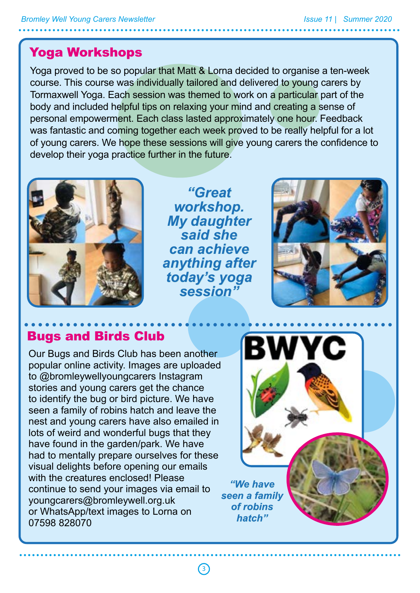# Yoga Workshops

Yoga proved to be so popular that Matt & Lorna decided to organise a ten-week course. This course was individually tailored and delivered to young carers by Tormaxwell Yoga. Each session was themed to work on a particular part of the body and included helpful tips on relaxing your mind and creating a sense of personal empowerment. Each class lasted approximately one hour. Feedback was fantastic and coming together each week proved to be really helpful for a lot of young carers. We hope these sessions will give young carers the confidence to develop their yoga practice further in the future.



*"Great workshop. My daughter said she can achieve anything after today's yoga session"*

 $\bigcirc$ 



# Bugs and Birds Club

Our Bugs and Birds Club has been another popular online activity. Images are uploaded to @bromleywellyoungcarers Instagram stories and young carers get the chance to identify the bug or bird picture. We have seen a family of robins hatch and leave the nest and young carers have also emailed in lots of weird and wonderful bugs that they have found in the garden/park. We have had to mentally prepare ourselves for these visual delights before opening our emails with the creatures enclosed! Please continue to send your images via email to youngcarers@bromleywell.org.uk or WhatsApp/text images to Lorna on 07598 828070

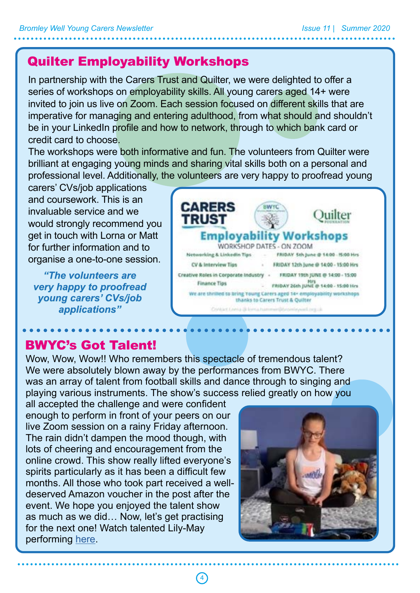# Quilter Employability Workshops

In partnership with the Carers Trust and Quilter, we were delighted to offer a series of workshops on employability skills. All young carers aged 14+ were invited to join us live on Zoom. Each session focused on different skills that are imperative for managing and entering adulthood, from what should and shouldn't be in your LinkedIn profile and how to network, through to which bank card or credit card to choose.

The workshops were both informative and fun. The volunteers from Quilter were brilliant at engaging young minds and sharing vital skills both on a personal and professional level. Additionally, the volunteers are very happy to proofread young

carers' CVs/job applications and coursework. This is an invaluable service and we would strongly recommend you get in touch with Lorna or Matt for further information and to organise a one-to-one session.

*"The volunteers are very happy to proofread young carers' CVs/job applications"*



# BWYC's Got Talent!

Wow, Wow, Wow!! Who remembers this spectacle of tremendous talent? We were absolutely blown away by the performances from BWYC. There was an array of talent from football skills and dance through to singing and playing various instruments. The show's success relied greatly on how you

all accepted the challenge and were confident enough to perform in front of your peers on our live Zoom session on a rainy Friday afternoon. The rain didn't dampen the mood though, with lots of cheering and encouragement from the online crowd. This show really lifted everyone's spirits particularly as it has been a difficult few months. All those who took part received a welldeserved Amazon voucher in the post after the event. We hope you enjoyed the talent show as much as we did… Now, let's get practising for the next one! Watch talented Lily-May performing [here](https://www.instagram.com/p/CBmqKXFBBjV/).

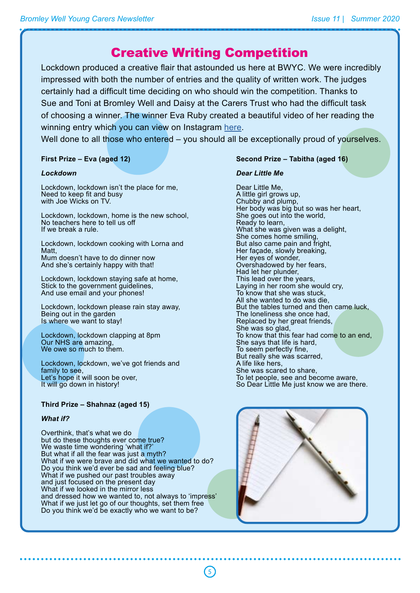### Creative Writing Competition

Lockdown produced a creative flair that astounded us here at BWYC. We were incredibly impressed with both the number of entries and the quality of written work. The judges certainly had a difficult time deciding on who should win the competition. Thanks to Sue and Toni at Bromley Well and Daisy at the Carers Trust who had the difficult task of choosing a winner. The winner Eva Ruby created a beautiful video of her reading the winning entry which you can view on Instagram [here](https://www.instagram.com/p/CCdELb4hy6o/).

Well done to all those who entered – you should all be exceptionally proud of yourselves.

5

**First Prize – Eva (aged 12)**

#### *Lockdown*

Lockdown, lockdown isn't the place for me, Need to keep fit and busy with Joe Wicks on TV.

Lockdown, lockdown, home is the new school, No teachers here to tell us off If we break a rule.

Lockdown, lockdown cooking with Lorna and Matt, Mum doesn't have to do dinner now And she's certainly happy with that!

Lockdown, lockdown staying safe at home, Stick to the government guidelines, And use email and your phones!

Lockdown, lockdown please rain stay away, Being out in the garden Is where we want to stay!

Lockdown, lockdown clapping at 8pm Our NHS are amazing, We owe so much to them.

Lockdown, lockdown, we've got friends and family to see, Let's hope it will soon be over, It will go down in history!

#### **Third Prize – Shahnaz (aged 15)**

#### *What if?*

Overthink, that's what we do but do these thoughts ever come true? We waste time wondering 'what if?' But what if all the fear was just a myth? What if we were brave and did what we wanted to do? Do you think we'd ever be sad and feeling blue? What if we pushed our past troubles away and just focused on the present day What if we looked in the mirror less and dressed how we wanted to, not always to 'impress' What if we just let go of our thoughts, set them free Do you think we'd be exactly who we want to be?

#### **Second Prize – Tabitha (aged 16)**

#### *Dear Little Me*

Dear Little Me, A little girl grows up, Chubby and plump, Her body was big but so was her heart, She goes out into the world, Ready to learn, What she was given was a delight, She comes home smiling, But also came pain and fright, Her façade, slowly breaking, Her eyes of wonder, Overshadowed by her fears, Had let her plunder, This lead over the years, Laying in her room she would cry, To know that she was stuck, All she wanted to do was die, But the tables turned and then came luck, The loneliness she once had, Replaced by her great friends, She was so glad, To know that this fear had come to an end, She says that life is hard, To seem perfectly fine, But really she was scarred, A life like hers, She was scared to share, To let people, see and become aware, So Dear Little Me just know we are there.

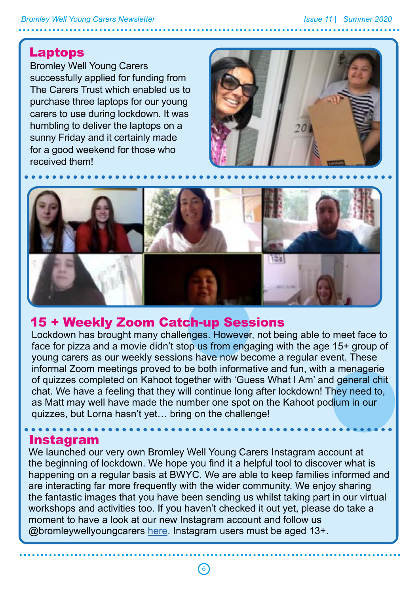#### *Bromley Well Young Carers Newsletter Issue 11 | Summer 2020*

#### Laptops

Bromley Well Young Carers successfully applied for funding from The Carers Trust which enabled us to purchase three laptops for our young carers to use during lockdown. It was humbling to deliver the laptops on a sunny Friday and it certainly made for a good weekend for those who received them!





#### 15 + Weekly Zoom Catch-up Sessions

Lockdown has brought many challenges. However, not being able to meet face to face for pizza and a movie didn't stop us from engaging with the age 15+ group of young carers as our weekly sessions have now become a regular event. These informal Zoom meetings proved to be both informative and fun, with a menagerie of quizzes completed on Kahoot together with 'Guess What I Am' and general chit chat. We have a feeling that they will continue long after lockdown! They need to, as Matt may well have made the number one spot on the Kahoot podium in our quizzes, but Lorna hasn't yet… bring on the challenge!

#### Instagram

We launched our very own Bromley Well Young Carers Instagram account at the beginning of lockdown. We hope you find it a helpful tool to discover what is happening on a regular basis at BWYC. We are able to keep families informed and are interacting far more frequently with the wider community. We enjoy sharing the fantastic images that you have been sending us whilst taking part in our virtual workshops and activities too. If you haven't checked it out yet, please do take a moment to have a look at our new Instagram account and follow us @bromleywellyoungcarers [here.](https://www.instagram.com/bromleywellyoungcarers/?hl=en) Instagram users must be aged 13+.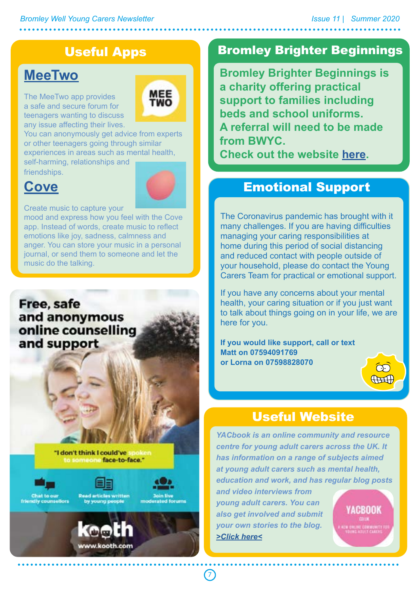# Useful Apps

# **MeeTwo**

The MeeTwo app provides a safe and secure forum for teenagers wanting to discuss any issue affecting their lives.



You can anonymously get advice from experts or other teenagers going through similar experiences in areas such as mental health, self-harming, relationships and

friendships.

# **Cove**

Create music to capture your

mood and express how you feel with the Cove app. Instead of words, create music to reflect emotions like joy, sadness, calmness and anger. You can store your music in a personal journal, or send them to someone and let the music do the talking.

#### Free, safe and anonymous online counselling and support

"I don't think I could've to someone face-to-face."





**Read articles written** by young people

moderated forums

7



### Bromley Brighter Beginnings

**Bromley Brighter Beginnings is a charity offering practical support to families including beds and school uniforms. A referral will need to be made from BWYC.**

**Check out the website <u>here</u>.** 

### Emotional Support

The Coronavirus pandemic has brought with it many challenges. If you are having difficulties managing your caring responsibilities at home during this period of social distancing and reduced contact with people outside of your household, please do contact the Young Carers Team for practical or emotional support.

If you have any concerns about your mental health, your caring situation or if you just want to talk about things going on in your life, we are here for you.

**If you would like support, call or text Matt on 07594091769 or Lorna on 07598828070**



### Useful Website

*YACbook is an online community and resource centre for young adult carers across the UK. It has information on a range of subjects aimed at young adult carers such as mental health, education and work, and has regular blog posts* 

*and video interviews from young adult carers. You can also get involved and submit your own stories to the blog. [>Click here<](https://www.yacbook.co.uk/)*

YACROOK